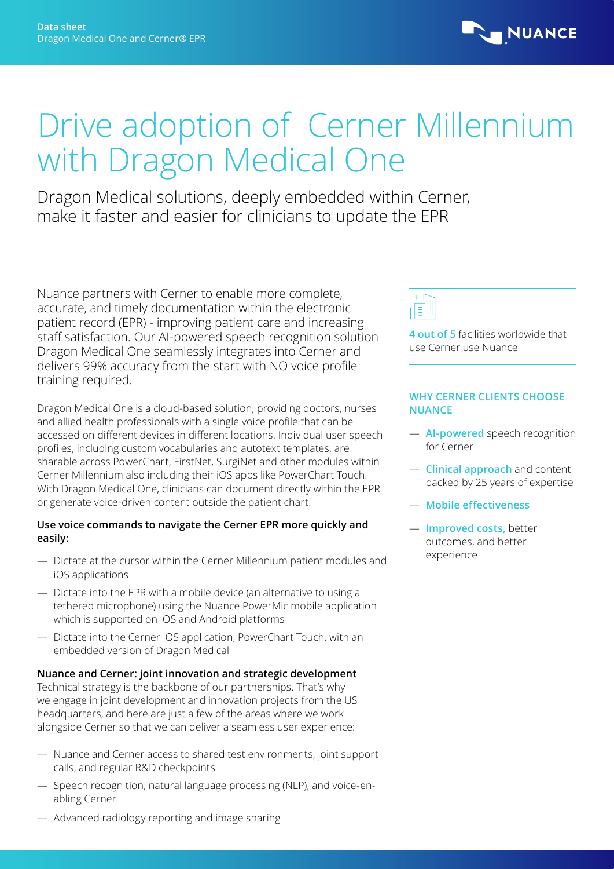

# Drive adoption of Cerner Millennium with Dragon Medical One

Dragon Medical solutions, deeply embedded within Cerner, make it faster and easier for clinicians to update the EPR

Nuance partners with Cerner to enable more complete, accurate, and timely documentation within the electronic patient record (EPR) - improving patient care and increasing staff satisfaction. Our AI-powered speech recognition solution Dragon Medical One seamlessly integrates into Cerner and delivers 99% accuracy from the start with NO voice profile training required.

Dragon Medical One is a cloud-based solution, providing doctors, nurses and allied health professionals with a single voice profile that can be accessed on different devices in different locations. Individual user speech profiles, including custom vocabularies and autotext templates, are sharable across PowerChart, FirstNet, SurgiNet and other modules within Cerner Millennium also including their iOS apps like PowerChart Touch. With Dragon Medical One, clinicians can document directly within the EPR or generate voice-driven content outside the patient chart.

## **Use voice commands to navigate the Cerner EPR more quickly and easily:**

- Dictate at the cursor within the Cerner Millennium patient modules and iOS applications
- Dictate into the EPR with a mobile device (an alternative to using a tethered microphone) using the Nuance PowerMic mobile application which is supported on iOS and Android platforms
- Dictate into the Cerner iOS application, PowerChart Touch, with an embedded version of Dragon Medical

## **Nuance and Cerner: joint innovation and strategic development**

Technical strategy is the backbone of our partnerships. That's why we engage in joint development and innovation projects from the US headquarters, and here are just a few of the areas where we work alongside Cerner so that we can deliver a seamless user experience:

- Nuance and Cerner access to shared test environments, joint support calls, and regular R&D checkpoints
- Speech recognition, natural language processing (NLP), and voice-enabling Cerner
- Advanced radiology reporting and image sharing



**4 out of 5** facilities worldwide that use Cerner use Nuance

## **WHY CERNER CLIENTS CHOOSE NUANCE**

- **AI-powered** speech recognition for Cerner
- **Clinical approach** and content backed by 25 years of expertise
- **Mobile effectiveness**
- **Improved costs,** better outcomes, and better experience